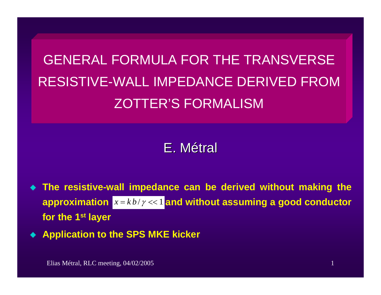# GENERAL FORMULA FOR THE TRANSVERSERESISTIVE-WALL IMPEDANCE DERIVED FROMZOTTER'S FORMALISM

## E.Métral

- ♦ **The resistive-wall impedance can be derived without making the**  approximation  $|x=kb|/y\ll 1$  and without assuming a good conductor **for the 1st layer**
- $\blacklozenge$ **Application to the SPS MKE kicker**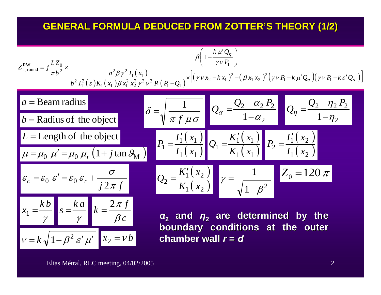#### **GENERAL FORMULA DE GENERAL FORMULA DEDUCED FROM ZOTTER DUCED FROM ZOTTER'S THEORY (1/2) S THEORY (1/2)**

 $\overline{\phantom{0}}$ 

$$
z_{\perp,\text{round}}^{\text{RW}} = j \frac{LZ_0}{\pi b^2} \times \frac{\beta \left(1 - \frac{k \mu' Q_{\eta}}{\gamma \nu P_1}\right)}{\frac{a^2 \beta \gamma^2 I_1(x_1) \beta x_1^2 x_2^2 \gamma^2 \nu^2 P_1(P_1 - Q_1)}{b^2 I_1^2(s) K_1(x_1) \beta x_1^2 x_2^2 \gamma^2 \nu^2 P_1(P_1 - Q_1)}} \times \left[ (\gamma \nu x_2 - k x_1)^2 - (\beta x_1 x_2)^2 (\gamma \nu P_1 - k \mu' Q_{\eta})(\gamma \nu P_1 - k \varepsilon' Q_{\alpha}) \right]
$$
\n
$$
a = \text{Beam radius}
$$
\n
$$
b = \text{Radius of the object}
$$
\n
$$
L = \text{Length of the object}
$$
\n
$$
\frac{L}{\mu = \mu_0 \mu' = \mu_0 \mu_r \left(1 + j \tan \beta_M\right)} \quad \beta = \sqrt{\frac{1}{\pi f \mu \sigma}} \quad Q_{\alpha} = \frac{Q_2 - \alpha_2 P_2}{1 - \alpha_2} \quad Q_{\eta} = \frac{Q_2 - \eta_2 P_2}{1 - \eta_2}
$$
\n
$$
\frac{L}{\mu = \mu_0 \mu' = \mu_0 \mu_r \left(1 + j \tan \beta_M\right)} \quad P_1 = \frac{I_1'(x_1)}{I_1(x_1)} \quad Q_1 = \frac{K_1'(x_1)}{K_1(x_1)} \quad P_2 = \frac{I_1'(x_2)}{I_1(x_2)}
$$
\n
$$
c_c = \varepsilon_0 \varepsilon' = \varepsilon_0 \varepsilon_r + \frac{\sigma}{j2 \pi f}
$$
\n
$$
x_1 = \frac{k b}{\gamma} \quad s = \frac{k a}{\gamma} \quad k = \frac{2 \pi f}{\beta c}
$$
\n
$$
a_2 \quad \text{and} \quad \eta_2 \quad \text{are determined by the boundary conditions at the outer}
$$
\n
$$
v = k \sqrt{1 - \beta^2 \varepsilon' \mu'} \quad x_2 = v b
$$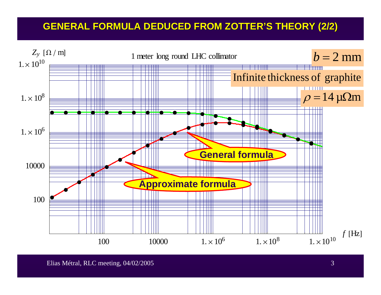### **GENERAL FORMULA DE GENERAL FORMULA DEDUCED FROM ZOTTER DUCED FROM ZOTTER'S THEORY (2/2) S THEORY (2/2)**